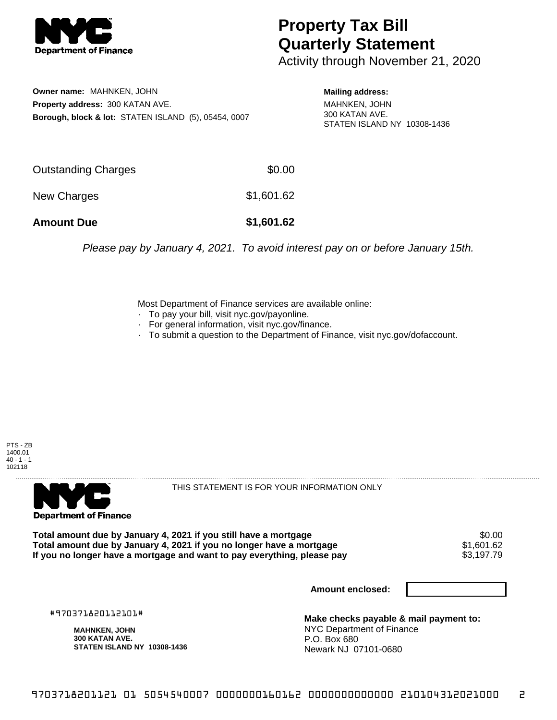

## **Property Tax Bill Quarterly Statement**

Activity through November 21, 2020

**Owner name:** MAHNKEN, JOHN **Property address:** 300 KATAN AVE. **Borough, block & lot:** STATEN ISLAND (5), 05454, 0007 **Mailing address:**

MAHNKEN, JOHN 300 KATAN AVE. STATEN ISLAND NY 10308-1436

| <b>Amount Due</b>   | \$1,601.62 |
|---------------------|------------|
| New Charges         | \$1,601.62 |
| Outstanding Charges | \$0.00     |

Please pay by January 4, 2021. To avoid interest pay on or before January 15th.

Most Department of Finance services are available online:

- · To pay your bill, visit nyc.gov/payonline.
- For general information, visit nyc.gov/finance.
- · To submit a question to the Department of Finance, visit nyc.gov/dofaccount.





THIS STATEMENT IS FOR YOUR INFORMATION ONLY

Total amount due by January 4, 2021 if you still have a mortgage  $$0.00$ <br>Total amount due by January 4, 2021 if you no longer have a mortgage  $$1,601.62$ **Total amount due by January 4, 2021 if you no longer have a mortgage**  $$1,601.62$$ **<br>If you no longer have a mortgage and want to pay everything, please pay**  $$3,197.79$$ If you no longer have a mortgage and want to pay everything, please pay

**Amount enclosed:**

#970371820112101#

**MAHNKEN, JOHN 300 KATAN AVE. STATEN ISLAND NY 10308-1436**

**Make checks payable & mail payment to:** NYC Department of Finance P.O. Box 680 Newark NJ 07101-0680